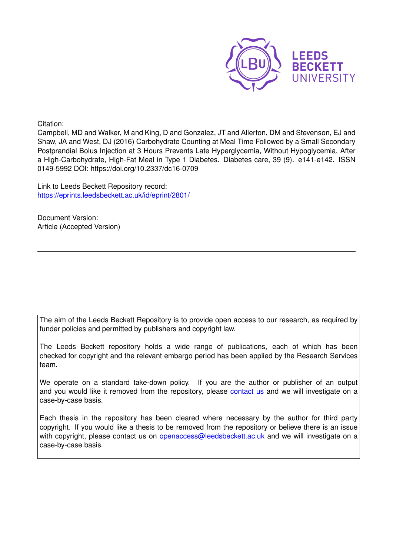

Citation:

Campbell, MD and Walker, M and King, D and Gonzalez, JT and Allerton, DM and Stevenson, EJ and Shaw, JA and West, DJ (2016) Carbohydrate Counting at Meal Time Followed by a Small Secondary Postprandial Bolus Injection at 3 Hours Prevents Late Hyperglycemia, Without Hypoglycemia, After a High-Carbohydrate, High-Fat Meal in Type 1 Diabetes. Diabetes care, 39 (9). e141-e142. ISSN 0149-5992 DOI: https://doi.org/10.2337/dc16-0709

Link to Leeds Beckett Repository record: <https://eprints.leedsbeckett.ac.uk/id/eprint/2801/>

Document Version: Article (Accepted Version)

The aim of the Leeds Beckett Repository is to provide open access to our research, as required by funder policies and permitted by publishers and copyright law.

The Leeds Beckett repository holds a wide range of publications, each of which has been checked for copyright and the relevant embargo period has been applied by the Research Services team.

We operate on a standard take-down policy. If you are the author or publisher of an output and you would like it removed from the repository, please [contact us](mailto:openaccess@leedsbeckett.ac.uk) and we will investigate on a case-by-case basis.

Each thesis in the repository has been cleared where necessary by the author for third party copyright. If you would like a thesis to be removed from the repository or believe there is an issue with copyright, please contact us on [openaccess@leedsbeckett.ac.uk](mailto:openaccess@leedsbeckett.ac.uk) and we will investigate on a case-by-case basis.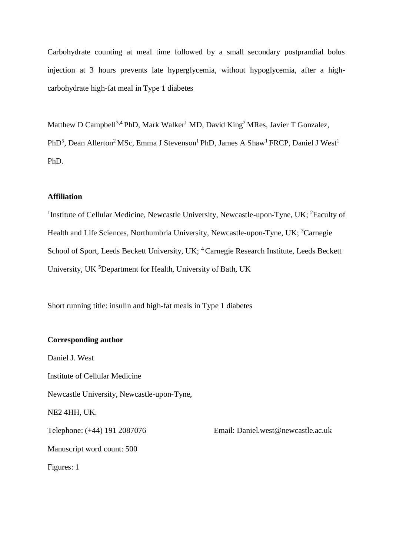Carbohydrate counting at meal time followed by a small secondary postprandial bolus injection at 3 hours prevents late hyperglycemia, without hypoglycemia, after a highcarbohydrate high-fat meal in Type 1 diabetes

Matthew D Campbell<sup>3,4</sup> PhD, Mark Walker<sup>1</sup> MD, David King<sup>2</sup> MRes, Javier T Gonzalez, PhD<sup>5</sup>, Dean Allerton<sup>2</sup> MSc, Emma J Stevenson<sup>1</sup> PhD, James A Shaw<sup>1</sup> FRCP, Daniel J West<sup>1</sup> PhD.

# **Affiliation**

<sup>1</sup>Institute of Cellular Medicine, Newcastle University, Newcastle-upon-Tyne, UK; <sup>2</sup>Faculty of Health and Life Sciences, Northumbria University, Newcastle-upon-Tyne, UK; <sup>3</sup>Carnegie School of Sport, Leeds Beckett University, UK; <sup>4</sup> Carnegie Research Institute, Leeds Beckett University, UK <sup>5</sup>Department for Health, University of Bath, UK

Short running title: insulin and high-fat meals in Type 1 diabetes

# **Corresponding author**

Daniel J. West Institute of Cellular Medicine Newcastle University, Newcastle-upon-Tyne, NE2 4HH, UK. Telephone: (+44) 191 2087076 Email: Daniel.west@newcastle.ac.uk Manuscript word count: 500 Figures: 1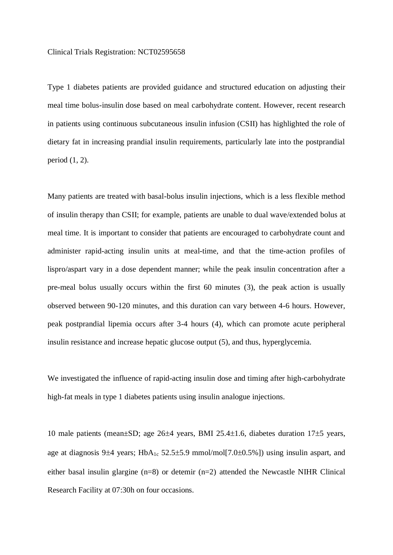Type 1 diabetes patients are provided guidance and structured education on adjusting their meal time bolus-insulin dose based on meal carbohydrate content. However, recent research in patients using continuous subcutaneous insulin infusion (CSII) has highlighted the role of dietary fat in increasing prandial insulin requirements, particularly late into the postprandial period (1, 2).

Many patients are treated with basal-bolus insulin injections, which is a less flexible method of insulin therapy than CSII; for example, patients are unable to dual wave/extended bolus at meal time. It is important to consider that patients are encouraged to carbohydrate count and administer rapid-acting insulin units at meal-time, and that the time-action profiles of lispro/aspart vary in a dose dependent manner; while the peak insulin concentration after a pre-meal bolus usually occurs within the first 60 minutes (3), the peak action is usually observed between 90-120 minutes, and this duration can vary between 4-6 hours. However, peak postprandial lipemia occurs after 3-4 hours (4), which can promote acute peripheral insulin resistance and increase hepatic glucose output (5), and thus, hyperglycemia.

We investigated the influence of rapid-acting insulin dose and timing after high-carbohydrate high-fat meals in type 1 diabetes patients using insulin analogue injections.

10 male patients (mean $\pm$ SD; age 26 $\pm$ 4 years, BMI 25.4 $\pm$ 1.6, diabetes duration 17 $\pm$ 5 years, age at diagnosis 9 $\pm$ 4 years; HbA<sub>1c</sub> 52.5 $\pm$ 5.9 mmol/mol[7.0 $\pm$ 0.5%]) using insulin aspart, and either basal insulin glargine (n=8) or detemir (n=2) attended the Newcastle NIHR Clinical Research Facility at 07:30h on four occasions.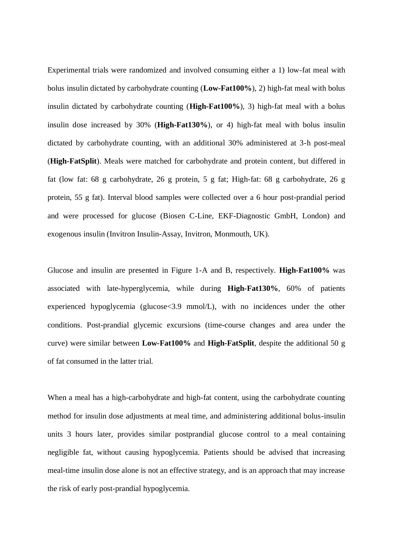Experimental trials were randomized and involved consuming either a 1) low-fat meal with bolus insulin dictated by carbohydrate counting (**Low-Fat100%**), 2) high-fat meal with bolus insulin dictated by carbohydrate counting (**High-Fat100%**), 3) high-fat meal with a bolus insulin dose increased by 30% (**High-Fat130%**), or 4) high-fat meal with bolus insulin dictated by carbohydrate counting, with an additional 30% administered at 3-h post-meal (**High-FatSplit**). Meals were matched for carbohydrate and protein content, but differed in fat (low fat: 68 g carbohydrate, 26 g protein, 5 g fat; High-fat: 68 g carbohydrate, 26 g protein, 55 g fat). Interval blood samples were collected over a 6 hour post-prandial period and were processed for glucose (Biosen C-Line, EKF-Diagnostic GmbH, London) and exogenous insulin (Invitron Insulin-Assay, Invitron, Monmouth, UK).

Glucose and insulin are presented in Figure 1-A and B, respectively. **High-Fat100%** was associated with late-hyperglycemia, while during **High-Fat130%**, 60% of patients experienced hypoglycemia (glucose<3.9 mmol/L), with no incidences under the other conditions. Post-prandial glycemic excursions (time-course changes and area under the curve) were similar between **Low-Fat100%** and **High-FatSplit**, despite the additional 50 g of fat consumed in the latter trial.

When a meal has a high-carbohydrate and high-fat content, using the carbohydrate counting method for insulin dose adjustments at meal time, and administering additional bolus-insulin units 3 hours later, provides similar postprandial glucose control to a meal containing negligible fat, without causing hypoglycemia. Patients should be advised that increasing meal-time insulin dose alone is not an effective strategy, and is an approach that may increase the risk of early post-prandial hypoglycemia.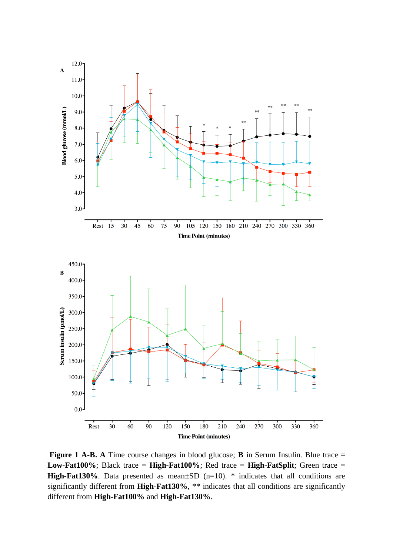

**Figure 1 A-B.** A Time course changes in blood glucose; **B** in Serum Insulin. Blue trace = **Low-Fat100%**; Black trace = **High-Fat100%**; Red trace = **High-FatSplit**; Green trace = **High-Fat130%**. Data presented as mean $\pm$ SD (n=10). \* indicates that all conditions are significantly different from **High-Fat130%**, \*\* indicates that all conditions are significantly different from **High-Fat100%** and **High-Fat130%**.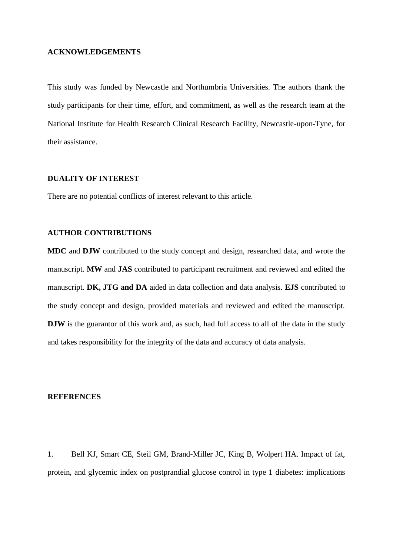### **ACKNOWLEDGEMENTS**

This study was funded by Newcastle and Northumbria Universities. The authors thank the study participants for their time, effort, and commitment, as well as the research team at the National Institute for Health Research Clinical Research Facility, Newcastle-upon-Tyne, for their assistance.

## **DUALITY OF INTEREST**

There are no potential conflicts of interest relevant to this article.

#### **AUTHOR CONTRIBUTIONS**

**MDC** and **DJW** contributed to the study concept and design, researched data, and wrote the manuscript. **MW** and **JAS** contributed to participant recruitment and reviewed and edited the manuscript. **DK, JTG and DA** aided in data collection and data analysis. **EJS** contributed to the study concept and design, provided materials and reviewed and edited the manuscript. **DJW** is the guarantor of this work and, as such, had full access to all of the data in the study and takes responsibility for the integrity of the data and accuracy of data analysis.

### **REFERENCES**

1. Bell KJ, Smart CE, Steil GM, Brand-Miller JC, King B, Wolpert HA. Impact of fat, protein, and glycemic index on postprandial glucose control in type 1 diabetes: implications